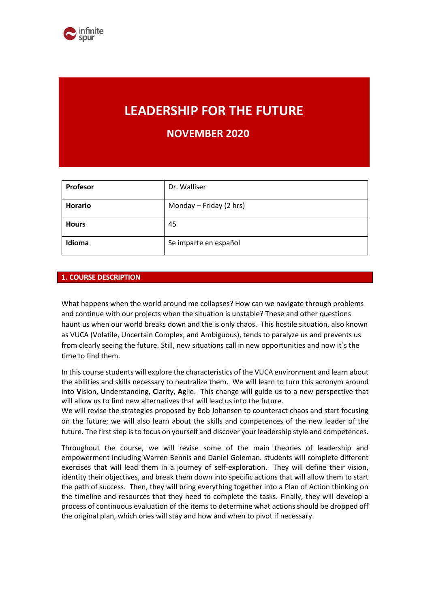# **LEADERSHIP FOR THE FUTURE**

**NOVEMBER 2020**

| <b>Profesor</b> | Dr. Walliser            |
|-----------------|-------------------------|
| <b>Horario</b>  | Monday - Friday (2 hrs) |
| <b>Hours</b>    | 45                      |
| Idioma          | Se imparte en español   |

## **1. COURSE DESCRIPTION**

What happens when the world around me collapses? How can we navigate through problems and continue with our projects when the situation is unstable? These and other questions haunt us when our world breaks down and the is only chaos. This hostile situation, also known as VUCA (Volatile, Uncertain Complex, and Ambiguous), tends to paralyze us and prevents us from clearly seeing the future. Still, new situations call in new opportunities and now it´s the time to find them.

In this course students will explore the characteristics of the VUCA environment and learn about the abilities and skills necessary to neutralize them. We will learn to turn this acronym around into **V**ision, **U**nderstanding, **C**larity, **A**gile. This change will guide us to a new perspective that will allow us to find new alternatives that will lead us into the future.

We will revise the strategies proposed by Bob Johansen to counteract chaos and start focusing on the future; we will also learn about the skills and competences of the new leader of the future. The first step is to focus on yourself and discover your leadership style and competences.

Throughout the course, we will revise some of the main theories of leadership and empowerment including Warren Bennis and Daniel Goleman. students will complete different exercises that will lead them in a journey of self-exploration. They will define their vision, identity their objectives, and break them down into specific actions that will allow them to start the path of success. Then, they will bring everything together into a Plan of Action thinking on the timeline and resources that they need to complete the tasks. Finally, they will develop a process of continuous evaluation of the items to determine what actions should be dropped off the original plan, which ones will stay and how and when to pivot if necessary.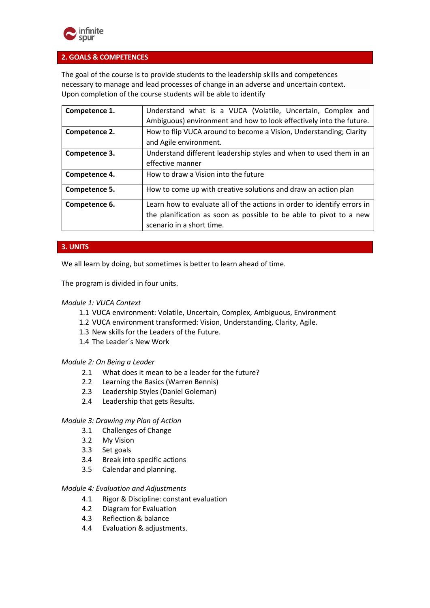

## **2. GOALS & COMPETENCES**

The goal of the course is to provide students to the leadership skills and competences necessary to manage and lead processes of change in an adverse and uncertain context. Upon completion of the course students will be able to identify

| Competence 1. | Understand what is a VUCA (Volatile, Uncertain, Complex and             |  |  |
|---------------|-------------------------------------------------------------------------|--|--|
|               | Ambiguous) environment and how to look effectively into the future.     |  |  |
| Competence 2. | How to flip VUCA around to become a Vision, Understanding; Clarity      |  |  |
|               | and Agile environment.                                                  |  |  |
| Competence 3. | Understand different leadership styles and when to used them in an      |  |  |
|               | effective manner                                                        |  |  |
| Competence 4. | How to draw a Vision into the future                                    |  |  |
| Competence 5. | How to come up with creative solutions and draw an action plan          |  |  |
| Competence 6. | Learn how to evaluate all of the actions in order to identify errors in |  |  |
|               | the planification as soon as possible to be able to pivot to a new      |  |  |
|               | scenario in a short time.                                               |  |  |

## **3. UNITS**

We all learn by doing, but sometimes is better to learn ahead of time.

The program is divided in four units.

#### *Module 1: VUCA Context*

- 1.1 VUCA environment: Volatile, Uncertain, Complex, Ambiguous, Environment
- 1.2 VUCA environment transformed: Vision, Understanding, Clarity, Agile.
- 1.3 New skills for the Leaders of the Future.
- 1.4 The Leader´s New Work

#### *Module 2: On Being a Leader*

- 2.1 What does it mean to be a leader for the future?
- 2.2 Learning the Basics (Warren Bennis)
- 2.3 Leadership Styles (Daniel Goleman)
- 2.4 Leadership that gets Results.

#### *Module 3: Drawing my Plan of Action*

- 3.1 Challenges of Change
- 3.2 My Vision
- 3.3 Set goals
- 3.4 Break into specific actions
- 3.5 Calendar and planning.

#### *Module 4: Evaluation and Adjustments*

- 4.1 Rigor & Discipline: constant evaluation
- 4.2 Diagram for Evaluation
- 4.3 Reflection & balance
- 4.4 Evaluation & adjustments.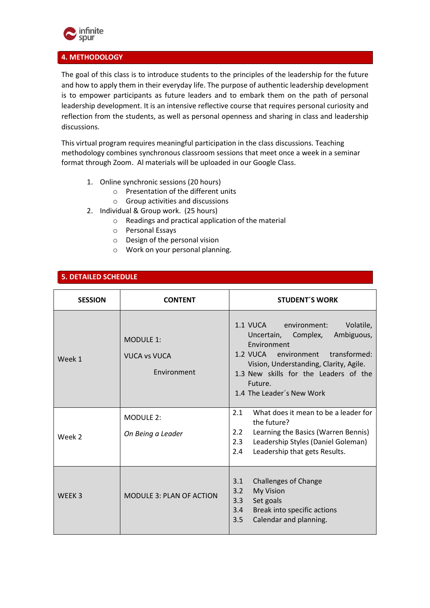

## **4. METHODOLOGY**

The goal of this class is to introduce students to the principles of the leadership for the future and how to apply them in their everyday life. The purpose of authentic leadership development is to empower participants as future leaders and to embark them on the path of personal leadership development. It is an intensive reflective course that requires personal curiosity and reflection from the students, as well as personal openness and sharing in class and leadership discussions.

This virtual program requires meaningful participation in the class discussions. Teaching methodology combines synchronous classroom sessions that meet once a week in a seminar format through Zoom. Al materials will be uploaded in our Google Class.

- 1. Online synchronic sessions (20 hours)
	- o Presentation of the different units
	- o Group activities and discussions
- 2. Individual & Group work. (25 hours)
	- o Readings and practical application of the material
	- o Personal Essays
	- o Design of the personal vision
	- o Work on your personal planning.

# **5. DETAILED SCHEDULE**

| <b>SESSION</b>    | <b>CONTENT</b>                                         | <b>STUDENT'S WORK</b>                                                                                                                                                                                                                                        |  |  |  |
|-------------------|--------------------------------------------------------|--------------------------------------------------------------------------------------------------------------------------------------------------------------------------------------------------------------------------------------------------------------|--|--|--|
| Week 1            | <b>MODULE 1:</b><br><b>VUCA vs VUCA</b><br>Environment | 1.1 VUCA environment:<br>Volatile,<br>Ambiguous,<br>Uncertain,<br>Complex,<br>Environment<br>1.2 VUCA environment<br>transformed:<br>Vision, Understanding, Clarity, Agile.<br>1.3 New skills for the Leaders of the<br>Future.<br>1.4 The Leader's New Work |  |  |  |
| Week 2            | <b>MODULE 2:</b><br>On Being a Leader                  | 2.1<br>What does it mean to be a leader for<br>the future?<br>2.2<br>Learning the Basics (Warren Bennis)<br>Leadership Styles (Daniel Goleman)<br>2.3<br>Leadership that gets Results.<br>2.4                                                                |  |  |  |
| WEEK <sub>3</sub> | <b>MODULE 3: PLAN OF ACTION</b>                        | <b>Challenges of Change</b><br>3.1<br>3.2<br><b>My Vision</b><br>3.3<br>Set goals<br>3.4<br>Break into specific actions<br>3.5<br>Calendar and planning.                                                                                                     |  |  |  |